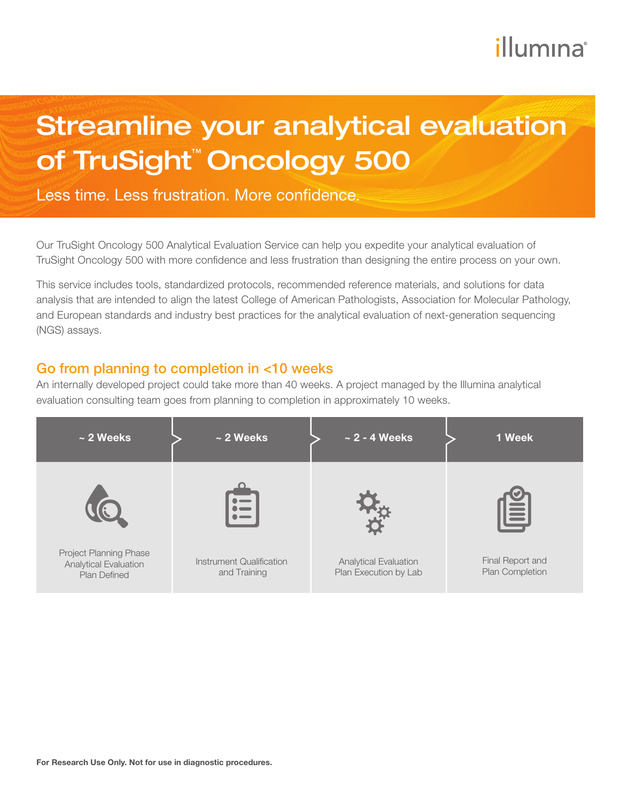# illumına

# Streamline your analytical evaluation of TruSight™ Oncology 500

Less time. Less frustration. More confidence.

Our TruSight Oncology 500 Analytical Evaluation Service can help you expedite your analytical evaluation of TruSight Oncology 500 with more confidence and less frustration than designing the entire process on your own.

This service includes tools, standardized protocols, recommended reference materials, and solutions for data analysis that are intended to align the latest College of American Pathologists, Association for Molecular Pathology, and European standards and industry best practices for the analytical evaluation of next-generation sequencing (NGS) assays.

#### Go from planning to completion in <10 weeks

An internally developed project could take more than 40 weeks. A project managed by the Illumina analytical evaluation consulting team goes from planning to completion in approximately 10 weeks.